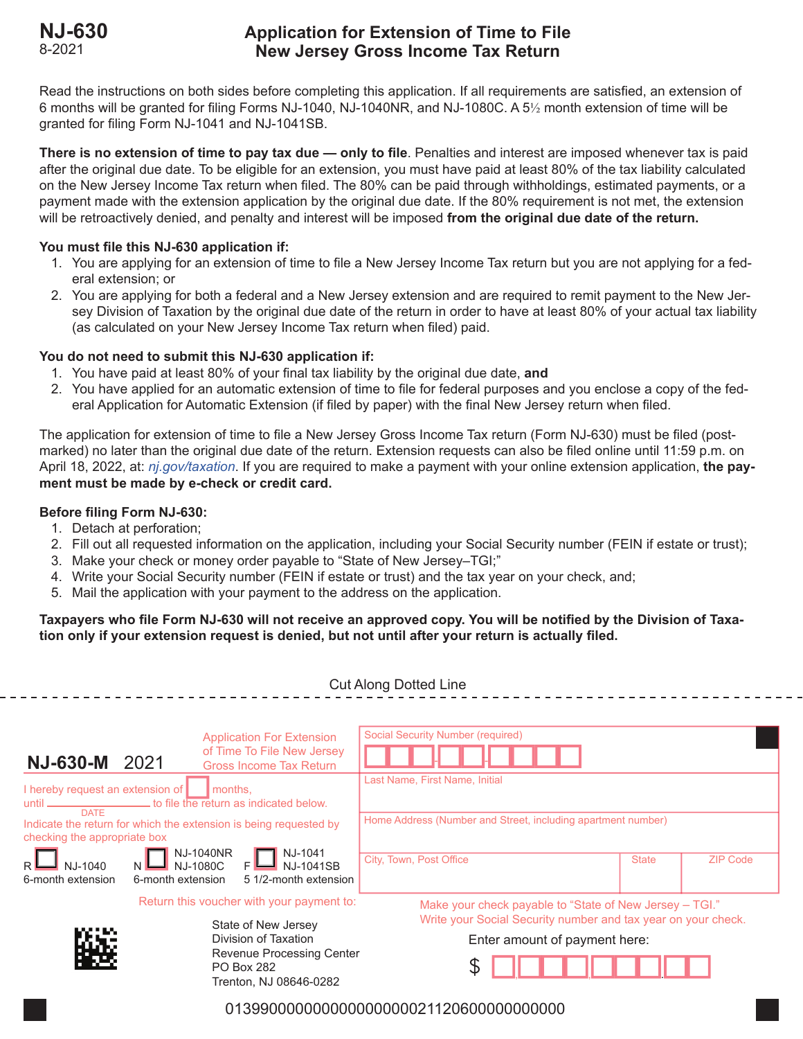# **NJ-630 Application for Extension of Time to File** 8-2021 **New Jersey Gross Income Tax Return**

Read the instructions on both sides before completing this application. If all requirements are satisfied, an extension of 6 months will be granted for filing Forms NJ-1040, NJ-1040NR, and NJ-1080C. A 5½ month extension of time will be granted for filing Form NJ-1041 and NJ-1041SB.

**There is no extension of time to pay tax due — only to file**. Penalties and interest are imposed whenever tax is paid after the original due date. To be eligible for an extension, you must have paid at least 80% of the tax liability calculated on the New Jersey Income Tax return when filed. The 80% can be paid through withholdings, estimated payments, or a payment made with the extension application by the original due date. If the 80% requirement is not met, the extension will be retroactively denied, and penalty and interest will be imposed **from the original due date of the return.**

## **You must file this NJ-630 application if:**

- 1. You are applying for an extension of time to file a New Jersey Income Tax return but you are not applying for a federal extension; or
- 2. You are applying for both a federal and a New Jersey extension and are required to remit payment to the New Jersey Division of Taxation by the original due date of the return in order to have at least 80% of your actual tax liability (as calculated on your New Jersey Income Tax return when filed) paid.

## **You do not need to submit this NJ-630 application if:**

- 1. You have paid at least 80% of your final tax liability by the original due date, **and**
- 2. You have applied for an automatic extension of time to file for federal purposes and you enclose a copy of the federal Application for Automatic Extension (if filed by paper) with the final New Jersey return when filed.

The application for extension of time to file a New Jersey Gross Income Tax return (Form NJ-630) must be filed (postmarked) no later than the original due date of the return. Extension requests can also be filed online until 11:59 p.m. on April 18, 2022, at: *nj.gov/taxation*. If you are required to make a payment with your online extension application, **the payment must be made by e-check or credit card.**

# **Before filing Form NJ-630:**

- 1. Detach at perforation;
- 2. Fill out all requested information on the application, including your Social Security number (FEIN if estate or trust);
- 3. Make your check or money order payable to "State of New Jersey–TGI;"
- 4. Write your Social Security number (FEIN if estate or trust) and the tax year on your check, and;
- 5. Mail the application with your payment to the address on the application.

# **Taxpayers who file Form NJ-630 will not receive an approved copy. You will be notified by the Division of Taxation only if your extension request is denied, but not until after your return is actually filed.**

| <b>Cut Along Dotted Line</b>                |                                                                                                                                                                                                                                                                                                                                                                                                                                                                                      |                                                                                                  |                                                                                                                                                                |  |  |
|---------------------------------------------|--------------------------------------------------------------------------------------------------------------------------------------------------------------------------------------------------------------------------------------------------------------------------------------------------------------------------------------------------------------------------------------------------------------------------------------------------------------------------------------|--------------------------------------------------------------------------------------------------|----------------------------------------------------------------------------------------------------------------------------------------------------------------|--|--|
| <b>NJ-630-M</b>                             | 2021                                                                                                                                                                                                                                                                                                                                                                                                                                                                                 | <b>Application For Extension</b><br>of Time To File New Jersey<br><b>Gross Income Tax Return</b> | <b>Social Security Number (required)</b><br>Last Name, First Name, Initial                                                                                     |  |  |
| <b>DATE</b><br>NJ-1040<br>6-month extension | I hereby request an extension of<br>months,<br>until _________________________to file the return as indicated below.<br>Indicate the return for which the extension is being requested by<br>checking the appropriate box<br>NJ-1040NR<br>NJ-1080C F NJ-1041SB<br>5 1/2-month extension<br>6-month extension<br>Return this voucher with your payment to:<br>State of New Jersey<br>Division of Taxation<br>Revenue Processing Center<br><b>PO Box 282</b><br>Trenton, NJ 08646-0282 |                                                                                                  | Home Address (Number and Street, including apartment number)<br>City, Town, Post Office<br><b>ZIP Code</b><br><b>State</b>                                     |  |  |
|                                             |                                                                                                                                                                                                                                                                                                                                                                                                                                                                                      |                                                                                                  | Make your check payable to "State of New Jersey - TGI."<br>Write your Social Security number and tax year on your check.<br>Enter amount of payment here:<br>P |  |  |
| 013990000000000000000021120600000000000     |                                                                                                                                                                                                                                                                                                                                                                                                                                                                                      |                                                                                                  |                                                                                                                                                                |  |  |